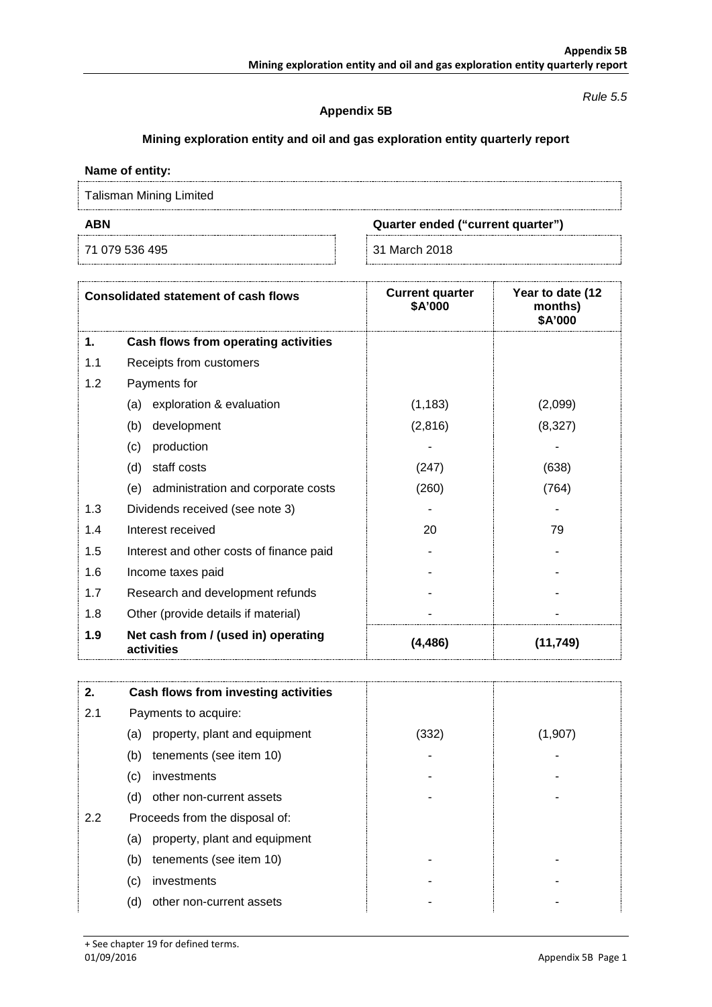#### *Rule 5.5*

## **Appendix 5B**

# **Mining exploration entity and oil and gas exploration entity quarterly report**

## **Name of entity:**

Talisman Mining Limited

71 079 536 495 31 March 2018

**ABN Quarter ended ("current quarter")**

| <b>Consolidated statement of cash flows</b> |                                                   | <b>Current quarter</b><br>\$A'000 | Year to date (12<br>months)<br>\$A'000 |  |
|---------------------------------------------|---------------------------------------------------|-----------------------------------|----------------------------------------|--|
| 1.                                          | Cash flows from operating activities              |                                   |                                        |  |
| 1.1                                         | Receipts from customers                           |                                   |                                        |  |
| 1.2                                         | Payments for                                      |                                   |                                        |  |
|                                             | exploration & evaluation<br>(a)                   | (1, 183)                          | (2,099)                                |  |
|                                             | (b)<br>development                                | (2,816)                           | (8,327)                                |  |
|                                             | (c)<br>production                                 |                                   |                                        |  |
|                                             | (d)<br>staff costs                                | (247)                             | (638)                                  |  |
|                                             | administration and corporate costs<br>(e)         | (260)                             | (764)                                  |  |
| 1.3                                         | Dividends received (see note 3)                   |                                   |                                        |  |
| 1.4                                         | Interest received                                 | 20                                | 79                                     |  |
| 1.5                                         | Interest and other costs of finance paid          |                                   |                                        |  |
| 1.6                                         | Income taxes paid                                 |                                   |                                        |  |
| 1.7                                         | Research and development refunds                  |                                   |                                        |  |
| 1.8                                         | Other (provide details if material)               |                                   |                                        |  |
| 1.9                                         | Net cash from / (used in) operating<br>activities | (4, 486)                          | (11, 749)                              |  |

| 2.  | Cash flows from investing activities |       |         |
|-----|--------------------------------------|-------|---------|
| 2.1 | Payments to acquire:                 |       |         |
|     | property, plant and equipment<br>(a) | (332) | (1,907) |
|     | tenements (see item 10)<br>(b)       |       |         |
|     | investments<br>(c)                   |       |         |
|     | other non-current assets<br>(d)      |       |         |
| 2.2 | Proceeds from the disposal of:       |       |         |
|     | property, plant and equipment<br>(a) |       |         |
|     | tenements (see item 10)<br>(b)       |       |         |
|     | (c)<br>investments                   |       |         |
|     | (d)<br>other non-current assets      |       |         |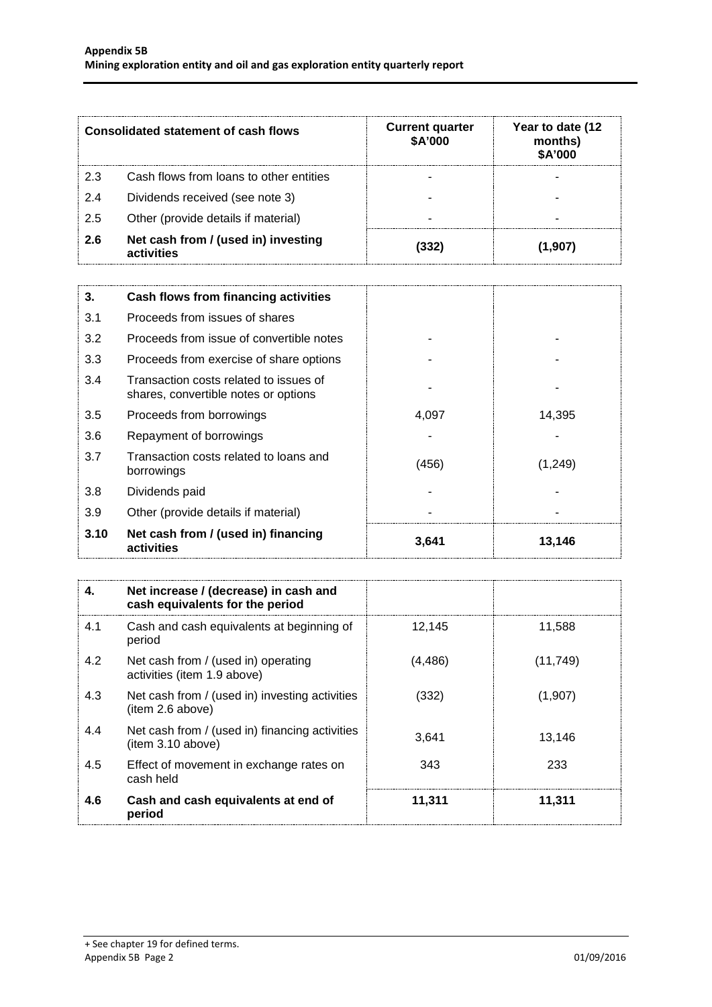| <b>Consolidated statement of cash flows</b> |                                                   | <b>Current quarter</b><br>\$A'000 | Year to date (12<br>months)<br>\$A'000 |
|---------------------------------------------|---------------------------------------------------|-----------------------------------|----------------------------------------|
| 2.3                                         | Cash flows from loans to other entities           |                                   |                                        |
| 2.4                                         | Dividends received (see note 3)                   |                                   |                                        |
| 2.5                                         | Other (provide details if material)               |                                   |                                        |
| 2.6                                         | Net cash from / (used in) investing<br>activities | 332                               | 1.907                                  |

| 3.   | Cash flows from financing activities                                           |       |         |
|------|--------------------------------------------------------------------------------|-------|---------|
| 3.1  | Proceeds from issues of shares                                                 |       |         |
| 3.2  | Proceeds from issue of convertible notes                                       |       |         |
| 3.3  | Proceeds from exercise of share options                                        |       |         |
| 3.4  | Transaction costs related to issues of<br>shares, convertible notes or options |       |         |
| 3.5  | Proceeds from borrowings                                                       | 4,097 | 14,395  |
| 3.6  | Repayment of borrowings                                                        |       |         |
| 3.7  | Transaction costs related to loans and<br>borrowings                           | (456) | (1,249) |
| 3.8  | Dividends paid                                                                 |       |         |
| 3.9  | Other (provide details if material)                                            |       |         |
| 3.10 | Net cash from / (used in) financing<br>activities                              | 3,641 | 13,146  |

| 4.  | Net increase / (decrease) in cash and<br>cash equivalents for the period |         |           |
|-----|--------------------------------------------------------------------------|---------|-----------|
| 4.1 | Cash and cash equivalents at beginning of<br>period                      | 12.145  | 11,588    |
| 4.2 | Net cash from / (used in) operating<br>activities (item 1.9 above)       | (4,486) | (11, 749) |
| 4.3 | Net cash from / (used in) investing activities<br>(item 2.6 above)       | (332)   | (1,907)   |
| 4.4 | Net cash from / (used in) financing activities<br>item 3.10 above)       | 3.641   | 13.146    |
| 4.5 | Effect of movement in exchange rates on<br>cash held                     | 343     | 233       |
| 4.6 | Cash and cash equivalents at end of<br>period                            | 11,311  | 11,311    |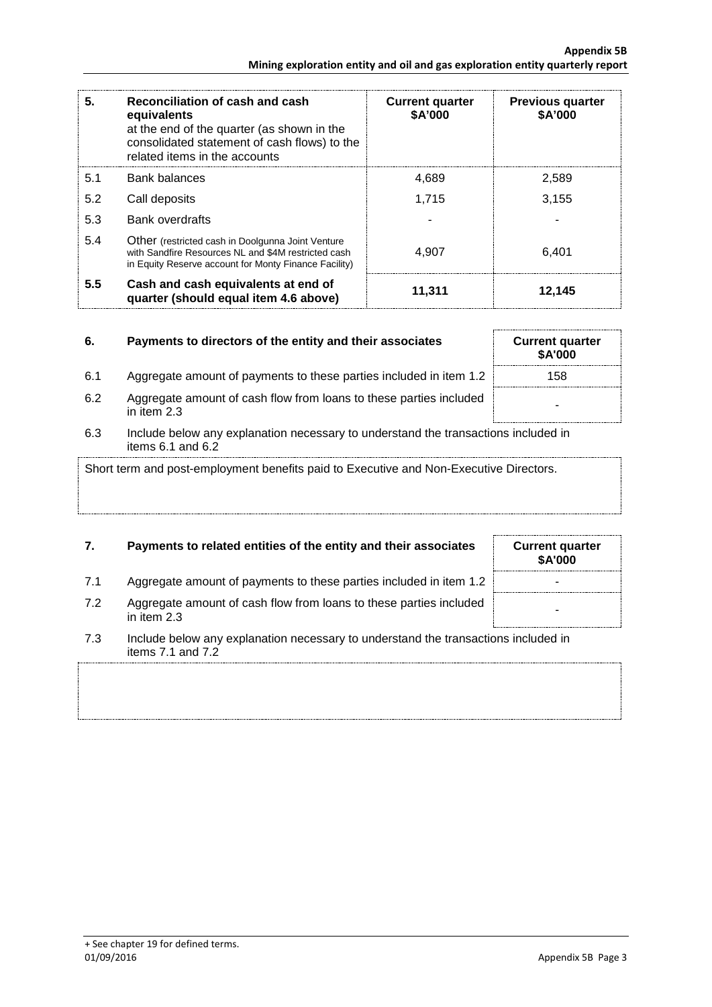| 5.  | Reconciliation of cash and cash<br>equivalents<br>at the end of the quarter (as shown in the<br>consolidated statement of cash flows) to the<br>related items in the accounts | <b>Current quarter</b><br>\$A'000 | <b>Previous quarter</b><br>\$A'000 |
|-----|-------------------------------------------------------------------------------------------------------------------------------------------------------------------------------|-----------------------------------|------------------------------------|
| 5.1 | Bank balances                                                                                                                                                                 | 4.689                             | 2.589                              |
| 5.2 | Call deposits                                                                                                                                                                 | 1.715                             | 3.155                              |
| 5.3 | <b>Bank overdrafts</b>                                                                                                                                                        |                                   |                                    |
| 5.4 | Other (restricted cash in Doolgunna Joint Venture<br>with Sandfire Resources NL and \$4M restricted cash<br>in Equity Reserve account for Monty Finance Facility)             | 4.907                             | 6,401                              |
| 5.5 | Cash and cash equivalents at end of<br>quarter (should equal item 4.6 above)                                                                                                  | 11,311                            | 12,145                             |

| 6. | Payments to directors of the entity and their associates |
|----|----------------------------------------------------------|
|    |                                                          |

- 6.1 Aggregate amount of payments to these parties included in item 1.2 158
- 6.2 Aggregate amount of cash flow from loans to these parties included in item 2.3
- 6.3 Include below any explanation necessary to understand the transactions included in items 6.1 and 6.2

Short term and post-employment benefits paid to Executive and Non-Executive Directors.

# **7.** Payments to related entities of the entity and their associates Current quarter

- 7.1 Aggregate amount of payments to these parties included in item 1.2
- 7.2 Aggregate amount of cash flow from loans to these parties included in them 2.3
- 7.3 Include below any explanation necessary to understand the transactions included in items 7.1 and 7.2



**6. Current quarter \$A'000**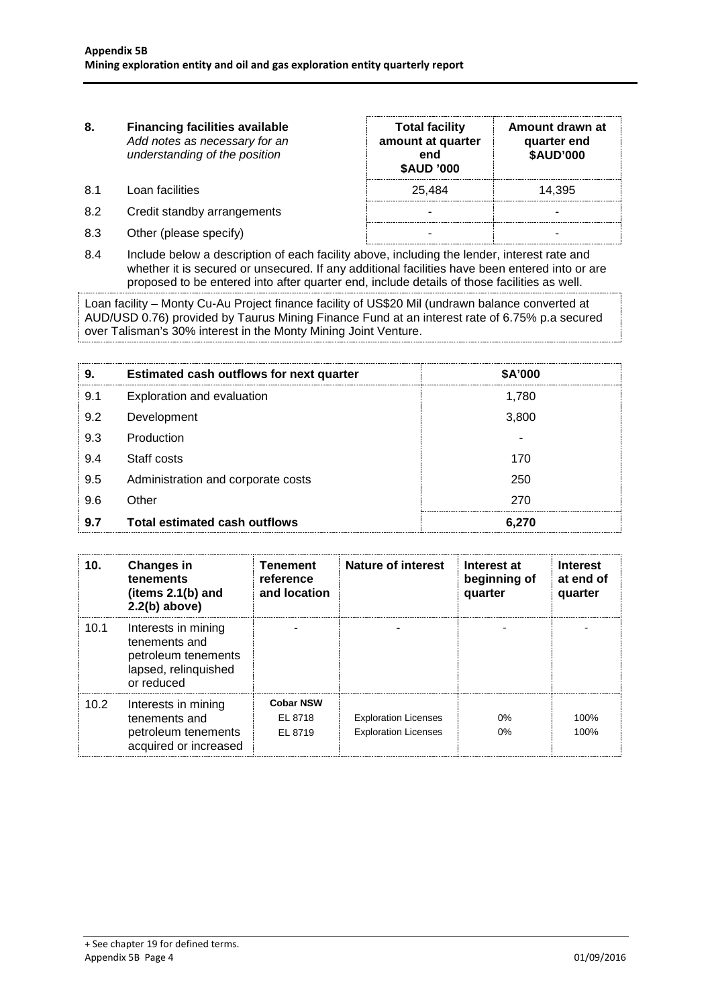- **8. Financing facilities available** *Add notes as necessary for an understanding of the position* **Total facility amount at quarter end \$AUD '000 Amount drawn at quarter end \$AUD'000** 8.1 Loan facilities 25,484 14,395 8.2 Credit standby arrangements and the standard standard standard standard standard standard standard standard standard standard standard standard standard standard standard standard standard standard standard standard st 8.3 Other (please specify) and the set of the set of the set of the set of the set of the set of the set of the set of the set of the set of the set of the set of the set of the set of the set of the set of the set of the
- 8.4 Include below a description of each facility above, including the lender, interest rate and whether it is secured or unsecured. If any additional facilities have been entered into or are proposed to be entered into after quarter end, include details of those facilities as well.

Loan facility – Monty Cu-Au Project finance facility of US\$20 Mil (undrawn balance converted at AUD/USD 0.76) provided by Taurus Mining Finance Fund at an interest rate of 6.75% p.a secured over Talisman's 30% interest in the Monty Mining Joint Venture.

| 9.  | Estimated cash outflows for next quarter | \$A'000 |
|-----|------------------------------------------|---------|
| 9.1 | Exploration and evaluation               | 1,780   |
| 9.2 | Development                              | 3,800   |
| 9.3 | Production                               |         |
| 9.4 | Staff costs                              | 170     |
| 9.5 | Administration and corporate costs       | 250     |
| 9.6 | Other                                    | 270     |
| 9.7 | Total estimated cash outflows            | 6.270   |

| 10.  | <b>Changes in</b><br>tenements<br>(items $2.1(b)$ and<br>$2.2(b)$ above)                          | <b>Tenement</b><br>reference<br>and location | Nature of interest                                         | Interest at<br>beginning of<br>quarter | Interest<br>at end of<br>quarter |
|------|---------------------------------------------------------------------------------------------------|----------------------------------------------|------------------------------------------------------------|----------------------------------------|----------------------------------|
| 10.1 | Interests in mining<br>tenements and<br>petroleum tenements<br>lapsed, relinquished<br>or reduced |                                              |                                                            |                                        |                                  |
| 10.2 | Interests in mining<br>tenements and<br>petroleum tenements<br>acquired or increased              | <b>Cobar NSW</b><br>EL 8718<br>EL 8719       | <b>Exploration Licenses</b><br><b>Exploration Licenses</b> | 0%<br>0%                               | 100%<br>100%                     |